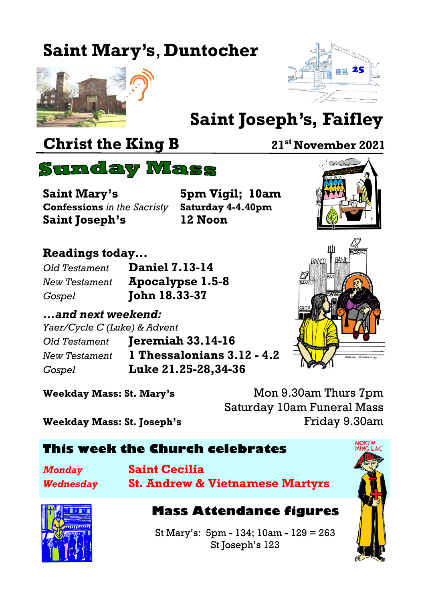# **Saint Mary's**, **Duntocher**





# **Saint Joseph's, Faifley**

## **Christ the King B** 21<sup>st</sup> November 2021

<sup>V</sup>ertical Co



**Saint Mary's 5pm Vigil; 10am Confessions** *in the Sacristy* **Saturday 4-4.40pm Saint Joseph's 12 Noon**

#### **Readings today...**

| Old Testament | <b>Daniel 7.13-14</b> |
|---------------|-----------------------|
| New Testament | Apocalypse 1.5-8      |
| Gospel        | <b>John 18.33-37</b>  |

#### *...and next weekend:*

*Yaer/Cycle C (Luke) & Advent*

*Old Testament* **Jeremiah 33.14-16** *New Testament* **1 Thessalonians 3.12 - 4.2** *Gospel* **Luke 21.25-28,34-36**



**Weekday Mass: St. Mary's** Mon 9.30am Thurs 7pm Saturday 10am Funeral Mass **Weekday Mass: St. Joseph's** Friday 9.30am

#### **This week the Church celebrates**

| <b>Monday</b> |  |
|---------------|--|
| Wednesday     |  |

*Monday* **Saint Cecilia** *Wednesday* **St. Andrew & Vietnamese Martyrs**



#### **Mass Attendance figures**

St Mary's: 5pm - 134; 10am - 129 = 263 St Joseph's 123

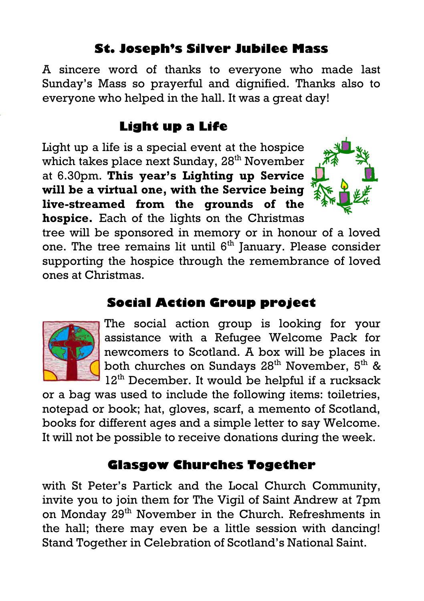#### **St. Joseph's Silver Jubilee Mass**

A sincere word of thanks to everyone who made last Sunday's Mass so prayerful and dignified. Thanks also to everyone who helped in the hall. It was a great day!

#### **Light up a Life**

Light up a life is a special event at the hospice which takes place next Sunday, 28<sup>th</sup> November at 6.30pm. **This year's Lighting up Service will be a virtual one, with the Service being live-streamed from the grounds of the hospice.** Each of the lights on the Christmas



tree will be sponsored in memory or in honour of a loved one. The tree remains lit until 6<sup>th</sup> January. Please consider supporting the hospice through the remembrance of loved ones at Christmas.

#### **Social Action Group project**



The social action group is looking for your assistance with a Refugee Welcome Pack for newcomers to Scotland. A box will be places in both churches on Sundays  $28<sup>th</sup>$  November,  $5<sup>th</sup>$  & 12<sup>th</sup> December. It would be helpful if a rucksack

or a bag was used to include the following items: toiletries, notepad or book; hat, gloves, scarf, a memento of Scotland, books for different ages and a simple letter to say Welcome. It will not be possible to receive donations during the week.

#### **Glasgow Churches Together**

with St Peter's Partick and the Local Church Community, invite you to join them for The Vigil of Saint Andrew at 7pm on Monday 29<sup>th</sup> November in the Church. Refreshments in the hall; there may even be a little session with dancing! Stand Together in Celebration of Scotland's National Saint.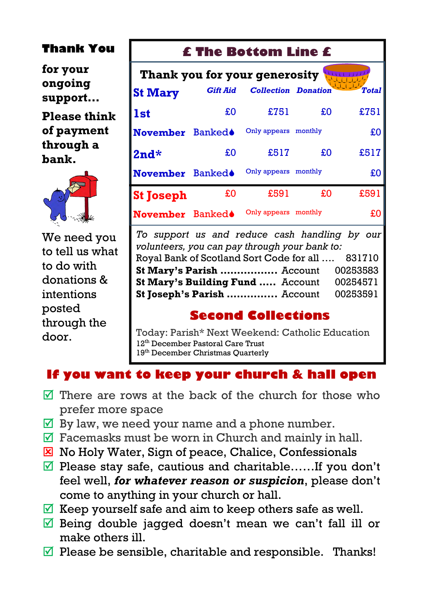#### **Thank You**

**for your ongoing support…**

**Please think of payment through a bank.**



We need you to tell us what to do with donations & intentions posted through the door.

#### **£ The Bottom Line £**

| Thank you for your generosity |                 |                            |    |              |  |  |  |
|-------------------------------|-----------------|----------------------------|----|--------------|--|--|--|
| <b>St Mary</b>                | <b>Gift Aid</b> | <b>Collection Donation</b> |    | <b>Total</b> |  |  |  |
| <b>1st</b>                    | £O              | £751                       | £O | £751         |  |  |  |
| November Banked <sup>®</sup>  |                 | Only appears monthly       |    | £0           |  |  |  |
| $2nd*$                        | £O              | £517                       | £O | £517         |  |  |  |
| <b>November</b>               | <b>Banked</b>   | Only appears monthly       |    | £O           |  |  |  |
| <b>St Joseph</b>              | £0              | £591                       | £0 | £591         |  |  |  |
| November Banked <sup>®</sup>  |                 | Only appears monthly       |    | £O           |  |  |  |

*To support us and reduce cash handling by our volunteers, you can pay through your bank to:* Royal Bank of Scotland Sort Code for all …. 831710 **St Mary's Parish .................** Account 00253583 **St Mary's Building Fund .....** Account 00254571 **St Joseph's Parish ...............** Account 00253591

#### **Second Collections**

Today: Parish\* Next Weekend: Catholic Education 12<sup>th</sup> December Pastoral Care Trust 19<sup>th</sup> December Christmas Quarterly

#### **If you want to keep your church & hall open**

- $\triangledown$  There are rows at the back of the church for those who prefer more space
- $\overline{\mathbb{Y}}$  By law, we need your name and a phone number.
- $\overline{\mathcal{A}}$  Facemasks must be worn in Church and mainly in hall.
- $\Sigma$  No Holy Water, Sign of peace, Chalice, Confessionals
- $\Pi$  Please stay safe, cautious and charitable……If you don't feel well, *for whatever reason or suspicion*, please don't come to anything in your church or hall.
- $\overline{\mathbb{Y}}$  Keep yourself safe and aim to keep others safe as well.
- $\overline{\mathcal{A}}$  Being double jagged doesn't mean we can't fall ill or make others ill.
- $\triangledown$  Please be sensible, charitable and responsible. Thanks!